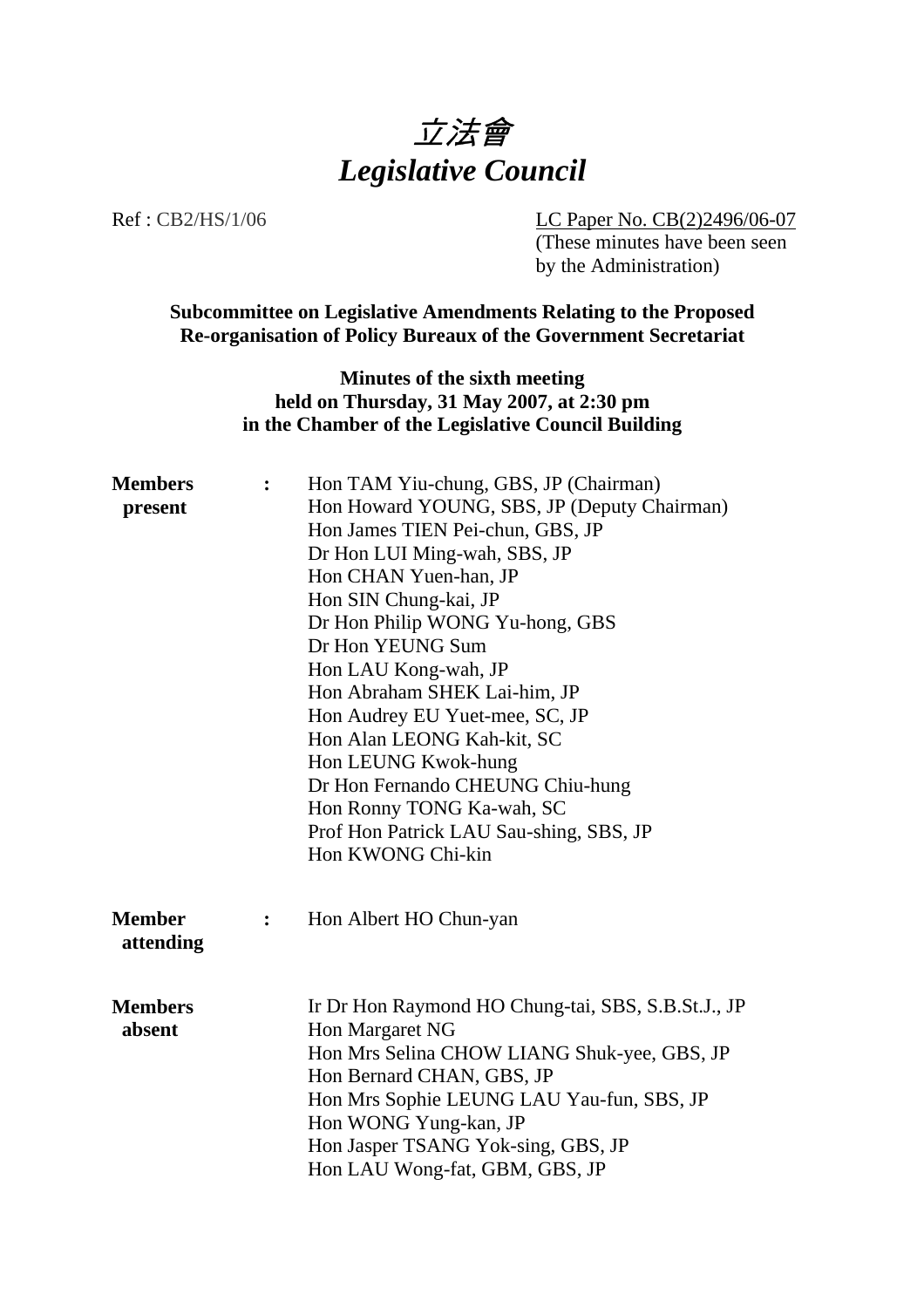

Ref : CB2/HS/1/06 LC Paper No. CB(2)2496/06-07

(These minutes have been seen by the Administration)

**Subcommittee on Legislative Amendments Relating to the Proposed Re-organisation of Policy Bureaux of the Government Secretariat**

> **Minutes of the sixth meeting held on Thursday, 31 May 2007, at 2:30 pm in the Chamber of the Legislative Council Building**

| $\ddot{\cdot}$ | Hon TAM Yiu-chung, GBS, JP (Chairman)              |
|----------------|----------------------------------------------------|
|                | Hon Howard YOUNG, SBS, JP (Deputy Chairman)        |
|                | Hon James TIEN Pei-chun, GBS, JP                   |
|                | Dr Hon LUI Ming-wah, SBS, JP                       |
|                | Hon CHAN Yuen-han, JP                              |
|                | Hon SIN Chung-kai, JP                              |
|                | Dr Hon Philip WONG Yu-hong, GBS                    |
|                | Dr Hon YEUNG Sum                                   |
|                | Hon LAU Kong-wah, JP                               |
|                | Hon Abraham SHEK Lai-him, JP                       |
|                | Hon Audrey EU Yuet-mee, SC, JP                     |
|                | Hon Alan LEONG Kah-kit, SC                         |
|                | Hon LEUNG Kwok-hung                                |
|                | Dr Hon Fernando CHEUNG Chiu-hung                   |
|                | Hon Ronny TONG Ka-wah, SC                          |
|                | Prof Hon Patrick LAU Sau-shing, SBS, JP            |
|                | Hon KWONG Chi-kin                                  |
|                | Hon Albert HO Chun-yan                             |
|                |                                                    |
|                | Ir Dr Hon Raymond HO Chung-tai, SBS, S.B.St.J., JP |
|                | Hon Margaret NG                                    |
|                | Hon Mrs Selina CHOW LIANG Shuk-yee, GBS, JP        |
|                | Hon Bernard CHAN, GBS, JP                          |
|                | Hon Mrs Sophie LEUNG LAU Yau-fun, SBS, JP          |
|                | Hon WONG Yung-kan, JP                              |
|                | Hon Jasper TSANG Yok-sing, GBS, JP                 |
|                | Hon LAU Wong-fat, GBM, GBS, JP                     |
|                | :                                                  |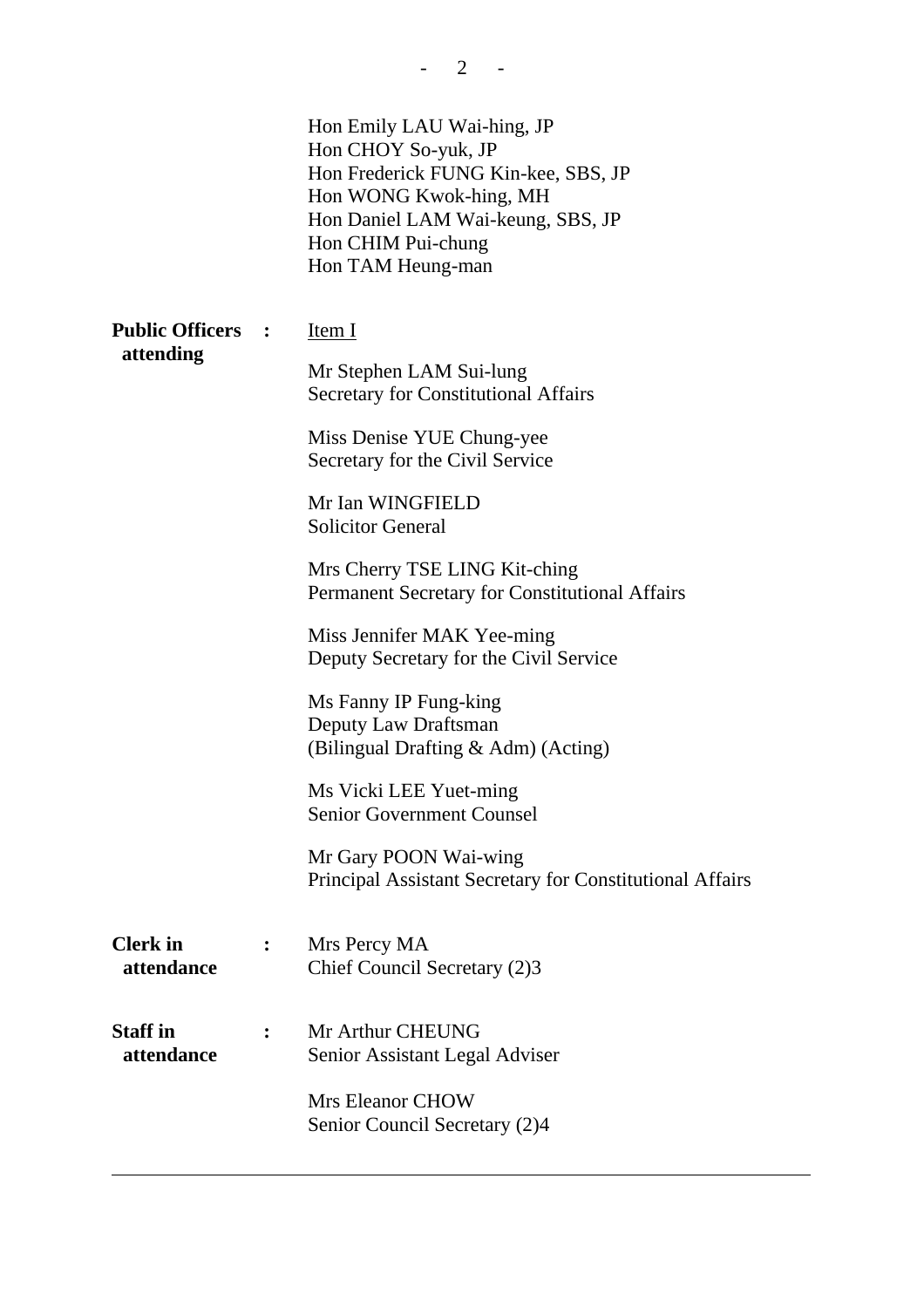|                               | Hon Emily LAU Wai-hing, JP<br>Hon CHOY So-yuk, JP<br>Hon Frederick FUNG Kin-kee, SBS, JP<br>Hon WONG Kwok-hing, MH<br>Hon Daniel LAM Wai-keung, SBS, JP<br>Hon CHIM Pui-chung<br>Hon TAM Heung-man |
|-------------------------------|----------------------------------------------------------------------------------------------------------------------------------------------------------------------------------------------------|
| <b>Public Officers :</b>      | Item I                                                                                                                                                                                             |
| attending                     | Mr Stephen LAM Sui-lung<br><b>Secretary for Constitutional Affairs</b>                                                                                                                             |
|                               | Miss Denise YUE Chung-yee<br>Secretary for the Civil Service                                                                                                                                       |
|                               | Mr Ian WINGFIELD<br><b>Solicitor General</b>                                                                                                                                                       |
|                               | Mrs Cherry TSE LING Kit-ching<br>Permanent Secretary for Constitutional Affairs                                                                                                                    |
|                               | Miss Jennifer MAK Yee-ming<br>Deputy Secretary for the Civil Service                                                                                                                               |
|                               | Ms Fanny IP Fung-king<br>Deputy Law Draftsman<br>(Bilingual Drafting & Adm) (Acting)                                                                                                               |
|                               | Ms Vicki LEE Yuet-ming<br><b>Senior Government Counsel</b>                                                                                                                                         |
|                               | Mr Gary POON Wai-wing<br>Principal Assistant Secretary for Constitutional Affairs                                                                                                                  |
| <b>Clerk</b> in<br>attendance | Mrs Percy MA<br>Chief Council Secretary (2)3                                                                                                                                                       |
| <b>Staff</b> in<br>attendance | Mr Arthur CHEUNG<br>Senior Assistant Legal Adviser                                                                                                                                                 |
|                               | <b>Mrs Eleanor CHOW</b><br>Senior Council Secretary (2)4                                                                                                                                           |

 $- 2 - 1$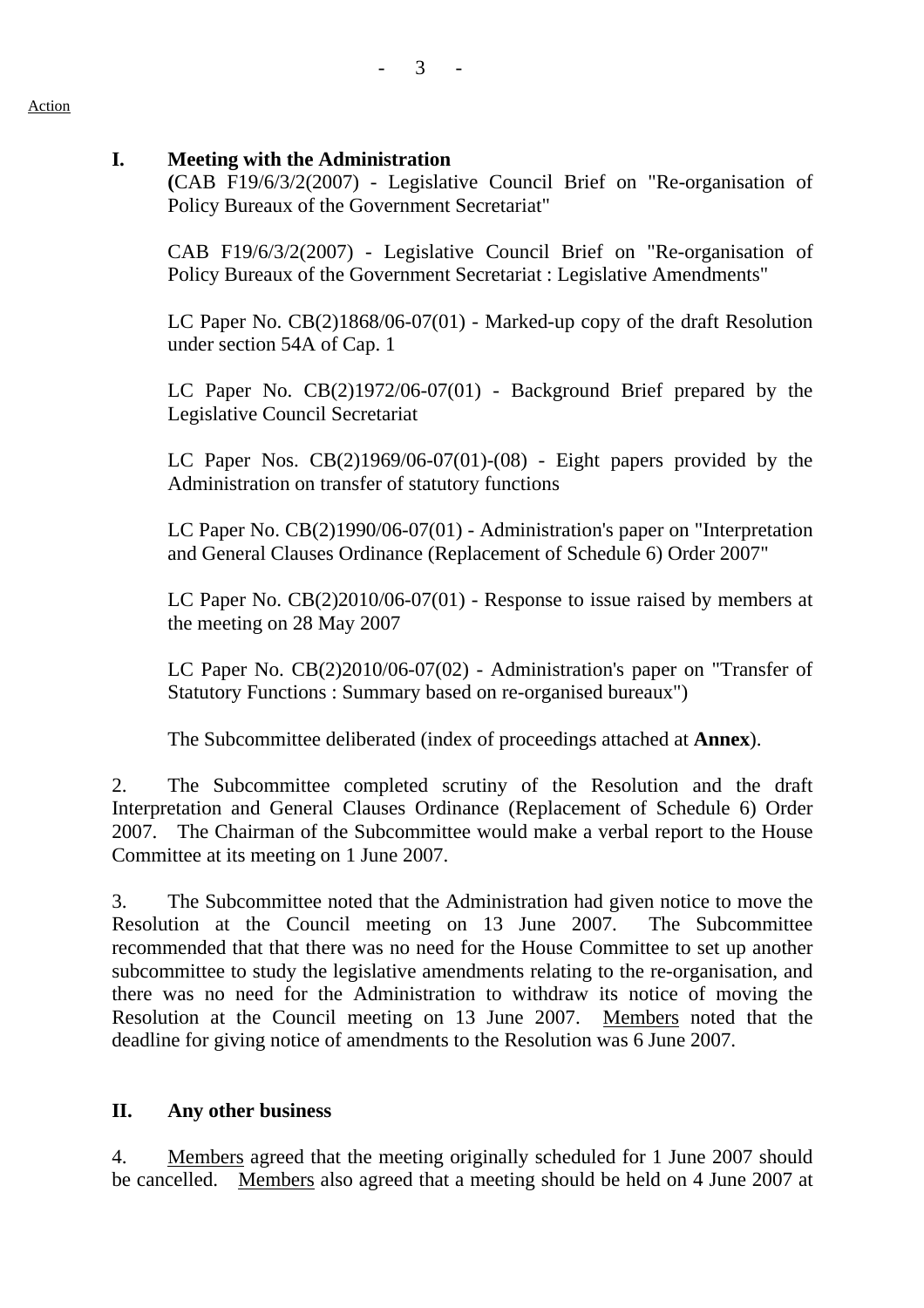## **I. Meeting with the Administration**

**(**CAB F19/6/3/2(2007) - Legislative Council Brief on "Re-organisation of Policy Bureaux of the Government Secretariat"

CAB F19/6/3/2(2007) - Legislative Council Brief on "Re-organisation of Policy Bureaux of the Government Secretariat : Legislative Amendments"

LC Paper No. CB(2)1868/06-07(01) - Marked-up copy of the draft Resolution under section 54A of Cap. 1

LC Paper No. CB(2)1972/06-07(01) - Background Brief prepared by the Legislative Council Secretariat

LC Paper Nos. CB(2)1969/06-07(01)-(08) - Eight papers provided by the Administration on transfer of statutory functions

LC Paper No. CB(2)1990/06-07(01) - Administration's paper on "Interpretation and General Clauses Ordinance (Replacement of Schedule 6) Order 2007"

LC Paper No. CB(2)2010/06-07(01) - Response to issue raised by members at the meeting on 28 May 2007

LC Paper No. CB(2)2010/06-07(02) - Administration's paper on "Transfer of Statutory Functions : Summary based on re-organised bureaux")

The Subcommittee deliberated (index of proceedings attached at **Annex**).

2. The Subcommittee completed scrutiny of the Resolution and the draft Interpretation and General Clauses Ordinance (Replacement of Schedule 6) Order 2007. The Chairman of the Subcommittee would make a verbal report to the House Committee at its meeting on 1 June 2007.

3. The Subcommittee noted that the Administration had given notice to move the Resolution at the Council meeting on 13 June 2007. The Subcommittee recommended that that there was no need for the House Committee to set up another subcommittee to study the legislative amendments relating to the re-organisation, and there was no need for the Administration to withdraw its notice of moving the Resolution at the Council meeting on 13 June 2007. Members noted that the deadline for giving notice of amendments to the Resolution was 6 June 2007.

## **II. Any other business**

4. Members agreed that the meeting originally scheduled for 1 June 2007 should be cancelled. Members also agreed that a meeting should be held on 4 June 2007 at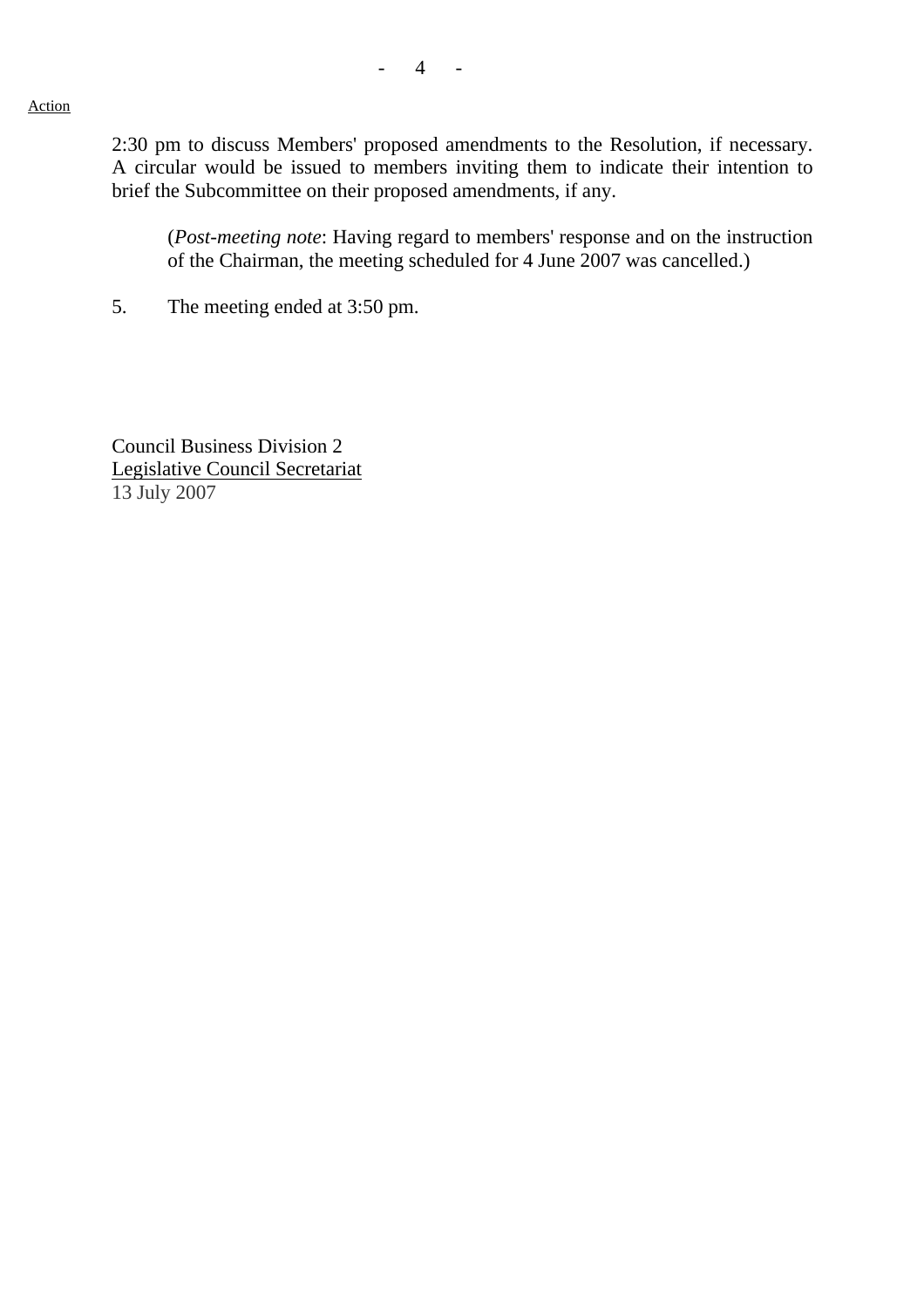#### Action

2:30 pm to discuss Members' proposed amendments to the Resolution, if necessary. A circular would be issued to members inviting them to indicate their intention to brief the Subcommittee on their proposed amendments, if any.

 (*Post-meeting note*: Having regard to members' response and on the instruction of the Chairman, the meeting scheduled for 4 June 2007 was cancelled.)

5. The meeting ended at 3:50 pm.

Council Business Division 2 Legislative Council Secretariat 13 July 2007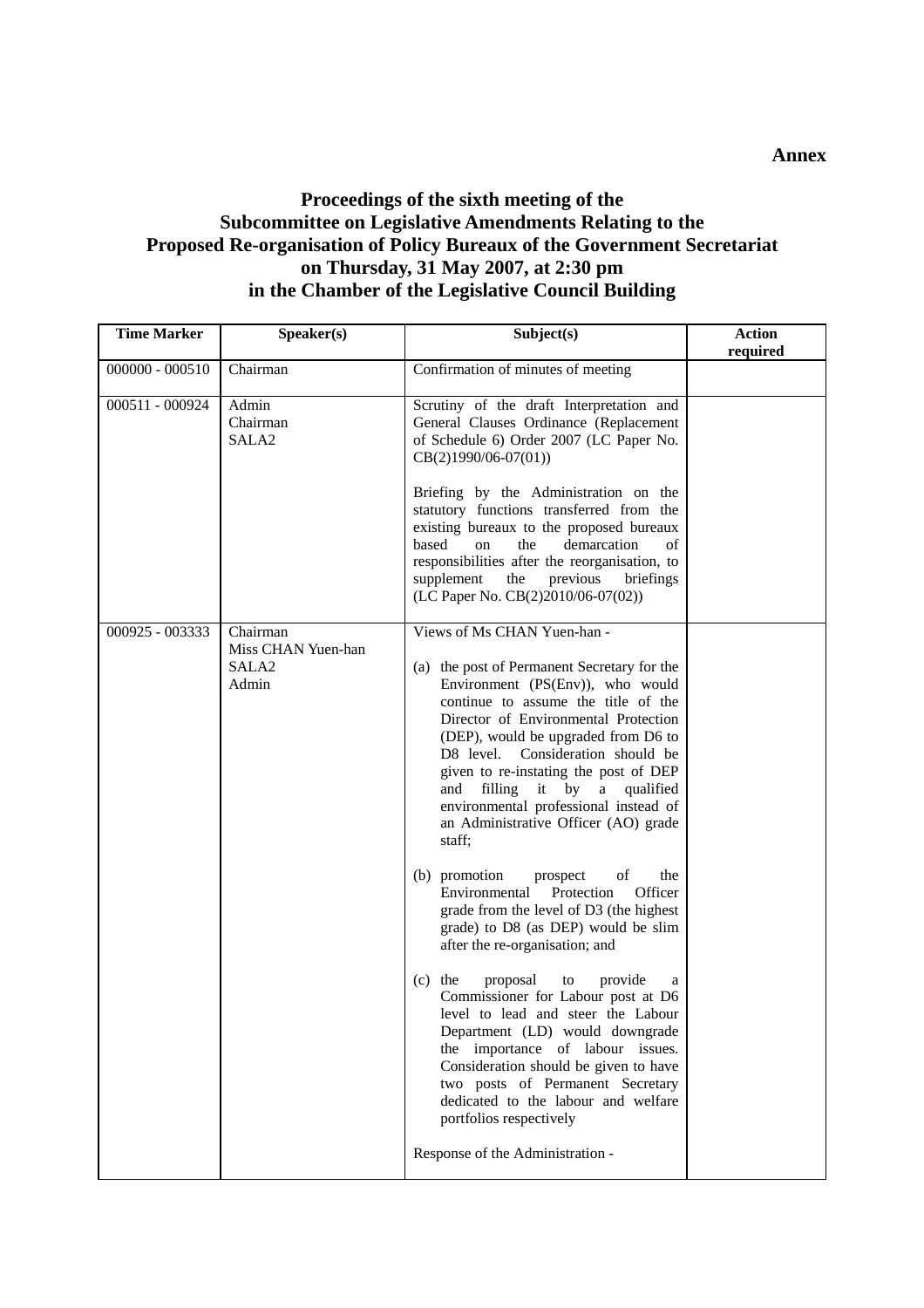### **Proceedings of the sixth meeting of the Subcommittee on Legislative Amendments Relating to the Proposed Re-organisation of Policy Bureaux of the Government Secretariat on Thursday, 31 May 2007, at 2:30 pm in the Chamber of the Legislative Council Building**

| <b>Time Marker</b> | Speaker(s)                                                   | Subject(s)                                                                                                                                                                                                                                                                                                                                                                                                                                                                                                                                                                                                                                                                                                                                                                                                                                                                                                                                                                                                                                           | <b>Action</b><br>required |
|--------------------|--------------------------------------------------------------|------------------------------------------------------------------------------------------------------------------------------------------------------------------------------------------------------------------------------------------------------------------------------------------------------------------------------------------------------------------------------------------------------------------------------------------------------------------------------------------------------------------------------------------------------------------------------------------------------------------------------------------------------------------------------------------------------------------------------------------------------------------------------------------------------------------------------------------------------------------------------------------------------------------------------------------------------------------------------------------------------------------------------------------------------|---------------------------|
| $000000 - 000510$  | Chairman                                                     | Confirmation of minutes of meeting                                                                                                                                                                                                                                                                                                                                                                                                                                                                                                                                                                                                                                                                                                                                                                                                                                                                                                                                                                                                                   |                           |
| 000511 - 000924    | Admin<br>Chairman<br>SALA <sub>2</sub>                       | Scrutiny of the draft Interpretation and<br>General Clauses Ordinance (Replacement<br>of Schedule 6) Order 2007 (LC Paper No.<br>$CB(2)1990/06-07(01))$<br>Briefing by the Administration on the<br>statutory functions transferred from the<br>existing bureaux to the proposed bureaux<br>based<br>demarcation<br>on<br>the<br>of<br>responsibilities after the reorganisation, to<br>supplement<br>the<br>previous<br>briefings<br>(LC Paper No. CB(2)2010/06-07(02))                                                                                                                                                                                                                                                                                                                                                                                                                                                                                                                                                                             |                           |
| 000925 - 003333    | Chairman<br>Miss CHAN Yuen-han<br>SALA <sub>2</sub><br>Admin | Views of Ms CHAN Yuen-han -<br>(a) the post of Permanent Secretary for the<br>Environment (PS(Env)), who would<br>continue to assume the title of the<br>Director of Environmental Protection<br>(DEP), would be upgraded from D6 to<br>Consideration should be<br>D8 level.<br>given to re-instating the post of DEP<br>filling it by<br>a qualified<br>and<br>environmental professional instead of<br>an Administrative Officer (AO) grade<br>staff;<br>(b) promotion<br>prospect<br>οf<br>the<br>Environmental<br>Protection<br>Officer<br>grade from the level of D3 (the highest<br>grade) to D8 (as DEP) would be slim<br>after the re-organisation; and<br>provide<br>$(c)$ the<br>proposal<br>to<br>a<br>Commissioner for Labour post at D6<br>level to lead and steer the Labour<br>Department (LD) would downgrade<br>the importance of labour issues.<br>Consideration should be given to have<br>two posts of Permanent Secretary<br>dedicated to the labour and welfare<br>portfolios respectively<br>Response of the Administration - |                           |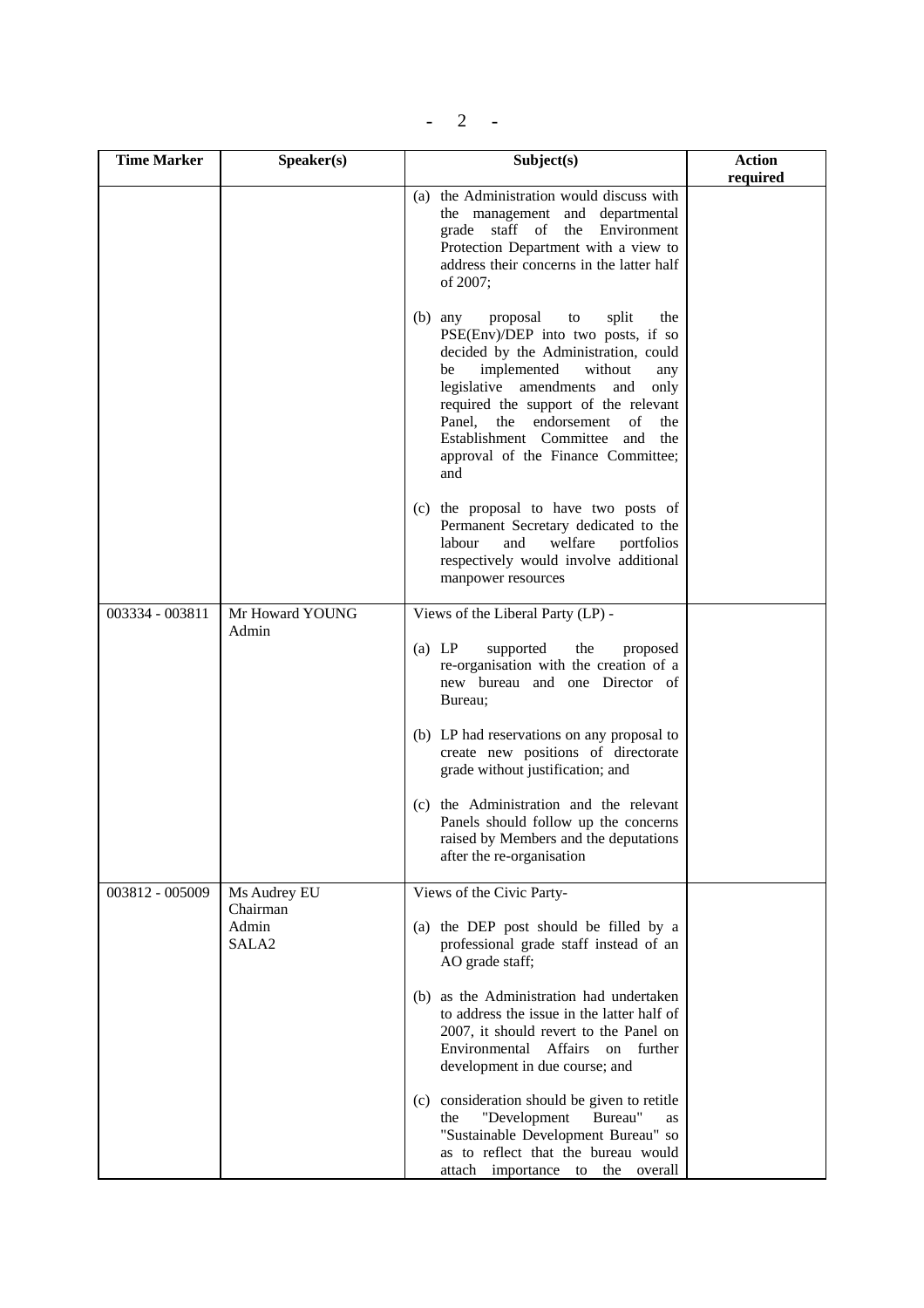# $- 2 - 1$

| <b>Time Marker</b> | Speaker(s)                 | Subject(s)                                                                                                                                                                                                                                                                                                                                                                                      | <b>Action</b><br>required |
|--------------------|----------------------------|-------------------------------------------------------------------------------------------------------------------------------------------------------------------------------------------------------------------------------------------------------------------------------------------------------------------------------------------------------------------------------------------------|---------------------------|
|                    |                            | (a) the Administration would discuss with<br>the management and departmental<br>grade staff of<br>the<br>Environment<br>Protection Department with a view to<br>address their concerns in the latter half<br>of 2007;                                                                                                                                                                           |                           |
|                    |                            | $(b)$ any<br>proposal<br>$\mathop{\mathrm{to}}$<br>split<br>the<br>PSE(Env)/DEP into two posts, if so<br>decided by the Administration, could<br>implemented<br>without<br>be<br>any<br>legislative amendments<br>and<br>only<br>required the support of the relevant<br>Panel, the endorsement<br>of<br>the<br>Establishment Committee and<br>the<br>approval of the Finance Committee;<br>and |                           |
|                    |                            | (c) the proposal to have two posts of<br>Permanent Secretary dedicated to the<br>welfare<br>labour<br>and<br>portfolios<br>respectively would involve additional<br>manpower resources                                                                                                                                                                                                          |                           |
| 003334 - 003811    | Mr Howard YOUNG<br>Admin   | Views of the Liberal Party (LP) -                                                                                                                                                                                                                                                                                                                                                               |                           |
|                    |                            | (a) LP<br>supported<br>the<br>proposed<br>re-organisation with the creation of a<br>new bureau and one Director of<br>Bureau;                                                                                                                                                                                                                                                                   |                           |
|                    |                            | (b) LP had reservations on any proposal to<br>create new positions of directorate<br>grade without justification; and                                                                                                                                                                                                                                                                           |                           |
|                    |                            | (c) the Administration and the relevant<br>Panels should follow up the concerns<br>raised by Members and the deputations<br>after the re-organisation                                                                                                                                                                                                                                           |                           |
| 003812 - 005009    | Ms Audrey EU<br>Chairman   | Views of the Civic Party-                                                                                                                                                                                                                                                                                                                                                                       |                           |
|                    | Admin<br>SALA <sub>2</sub> | (a) the DEP post should be filled by a<br>professional grade staff instead of an<br>AO grade staff;                                                                                                                                                                                                                                                                                             |                           |
|                    |                            | (b) as the Administration had undertaken<br>to address the issue in the latter half of<br>2007, it should revert to the Panel on<br>Environmental<br>Affairs<br><sub>on</sub><br>further<br>development in due course; and                                                                                                                                                                      |                           |
|                    |                            | (c) consideration should be given to retitle<br>"Development<br>Bureau"<br>the<br>as<br>"Sustainable Development Bureau" so<br>as to reflect that the bureau would<br>attach importance to the overall                                                                                                                                                                                          |                           |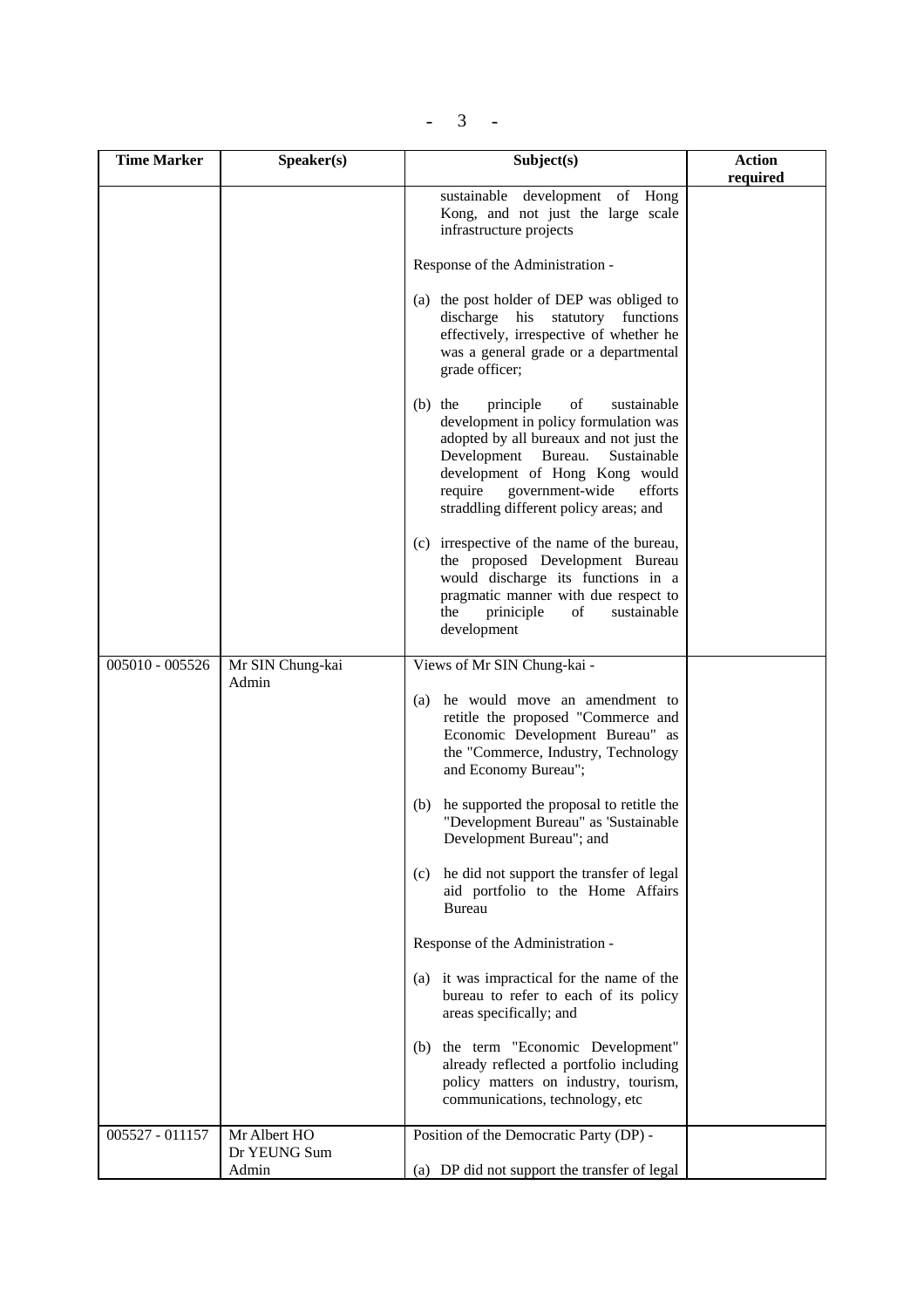| $\overline{\phantom{a}}$ |  |
|--------------------------|--|
|--------------------------|--|

| <b>Time Marker</b> | Speaker(s)                   | Subject(s)                                                                                                                                                                                                                                                                                    | <b>Action</b> |
|--------------------|------------------------------|-----------------------------------------------------------------------------------------------------------------------------------------------------------------------------------------------------------------------------------------------------------------------------------------------|---------------|
|                    |                              | sustainable development of Hong<br>Kong, and not just the large scale<br>infrastructure projects                                                                                                                                                                                              | required      |
|                    |                              | Response of the Administration -                                                                                                                                                                                                                                                              |               |
|                    |                              | (a) the post holder of DEP was obliged to<br>discharge his<br>functions<br>statutory<br>effectively, irrespective of whether he<br>was a general grade or a departmental<br>grade officer;                                                                                                    |               |
|                    |                              | principle<br>of<br>$(b)$ the<br>sustainable<br>development in policy formulation was<br>adopted by all bureaux and not just the<br>Development<br>Bureau.<br>Sustainable<br>development of Hong Kong would<br>require<br>government-wide<br>efforts<br>straddling different policy areas; and |               |
|                    |                              | (c) irrespective of the name of the bureau,<br>the proposed Development Bureau<br>would discharge its functions in a<br>pragmatic manner with due respect to<br>priniciple<br>sustainable<br>the<br>of<br>development                                                                         |               |
| 005010 - 005526    | Mr SIN Chung-kai<br>Admin    | Views of Mr SIN Chung-kai -                                                                                                                                                                                                                                                                   |               |
|                    |                              | (a) he would move an amendment to<br>retitle the proposed "Commerce and<br>Economic Development Bureau" as<br>the "Commerce, Industry, Technology<br>and Economy Bureau";                                                                                                                     |               |
|                    |                              | he supported the proposal to retitle the<br>(b)<br>"Development Bureau" as 'Sustainable<br>Development Bureau"; and                                                                                                                                                                           |               |
|                    |                              | (c) he did not support the transfer of legal<br>aid portfolio to the Home Affairs<br>Bureau                                                                                                                                                                                                   |               |
|                    |                              | Response of the Administration -                                                                                                                                                                                                                                                              |               |
|                    |                              | (a) it was impractical for the name of the<br>bureau to refer to each of its policy<br>areas specifically; and                                                                                                                                                                                |               |
|                    |                              | (b) the term "Economic Development"<br>already reflected a portfolio including<br>policy matters on industry, tourism,<br>communications, technology, etc                                                                                                                                     |               |
| 005527 - 011157    | Mr Albert HO<br>Dr YEUNG Sum | Position of the Democratic Party (DP) -                                                                                                                                                                                                                                                       |               |
|                    | Admin                        | (a) DP did not support the transfer of legal                                                                                                                                                                                                                                                  |               |